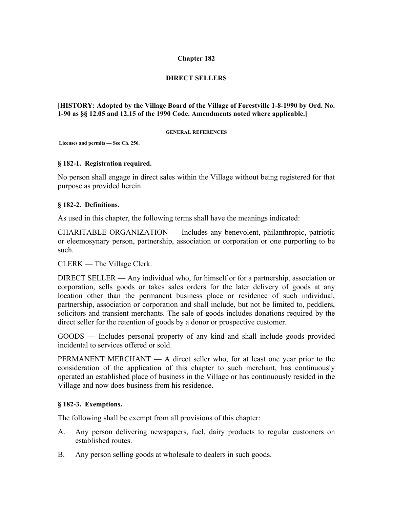#### **Chapter 182**

# **DIRECT SELLERS**

#### **[HISTORY: Adopted by the Village Board of the Village of Forestville 1-8-1990 by Ord. No. 1-90 as §§ 12.05 and 12.15 of the 1990 Code. Amendments noted where applicable.]**

#### **GENERAL REFERENCES**

**Licenses and permits — See Ch. 256.**

#### **§ 182-1. Registration required.**

No person shall engage in direct sales within the Village without being registered for that purpose as provided herein.

#### **§ 182-2. Definitions.**

As used in this chapter, the following terms shall have the meanings indicated:

CHARITABLE ORGANIZATION — Includes any benevolent, philanthropic, patriotic or eleemosynary person, partnership, association or corporation or one purporting to be such.

CLERK — The Village Clerk.

DIRECT SELLER — Any individual who, for himself or for a partnership, association or corporation, sells goods or takes sales orders for the later delivery of goods at any location other than the permanent business place or residence of such individual, partnership, association or corporation and shall include, but not be limited to, peddlers, solicitors and transient merchants. The sale of goods includes donations required by the direct seller for the retention of goods by a donor or prospective customer.

GOODS — Includes personal property of any kind and shall include goods provided incidental to services offered or sold.

PERMANENT MERCHANT — A direct seller who, for at least one year prior to the consideration of the application of this chapter to such merchant, has continuously operated an established place of business in the Village or has continuously resided in the Village and now does business from his residence.

# **§ 182-3. Exemptions.**

The following shall be exempt from all provisions of this chapter:

- A. Any person delivering newspapers, fuel, dairy products to regular customers on established routes.
- B. Any person selling goods at wholesale to dealers in such goods.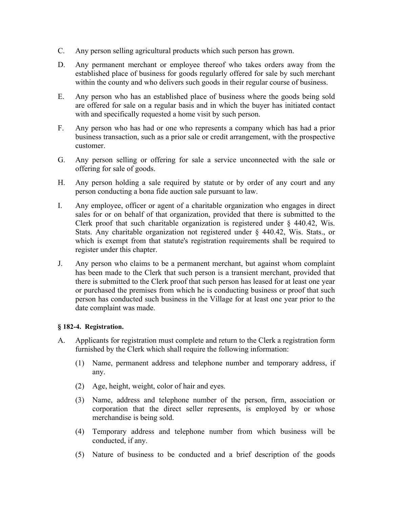- C. Any person selling agricultural products which such person has grown.
- D. Any permanent merchant or employee thereof who takes orders away from the established place of business for goods regularly offered for sale by such merchant within the county and who delivers such goods in their regular course of business.
- E. Any person who has an established place of business where the goods being sold are offered for sale on a regular basis and in which the buyer has initiated contact with and specifically requested a home visit by such person.
- F. Any person who has had or one who represents a company which has had a prior business transaction, such as a prior sale or credit arrangement, with the prospective customer.
- G. Any person selling or offering for sale a service unconnected with the sale or offering for sale of goods.
- H. Any person holding a sale required by statute or by order of any court and any person conducting a bona fide auction sale pursuant to law.
- I. Any employee, officer or agent of a charitable organization who engages in direct sales for or on behalf of that organization, provided that there is submitted to the Clerk proof that such charitable organization is registered under  $\S$  440.42, Wis. Stats. Any charitable organization not registered under § 440.42, Wis. Stats., or which is exempt from that statute's registration requirements shall be required to register under this chapter.
- J. Any person who claims to be a permanent merchant, but against whom complaint has been made to the Clerk that such person is a transient merchant, provided that there is submitted to the Clerk proof that such person has leased for at least one year or purchased the premises from which he is conducting business or proof that such person has conducted such business in the Village for at least one year prior to the date complaint was made.

# **§ 182-4. Registration.**

- A. Applicants for registration must complete and return to the Clerk a registration form furnished by the Clerk which shall require the following information:
	- (1) Name, permanent address and telephone number and temporary address, if any.
	- (2) Age, height, weight, color of hair and eyes.
	- (3) Name, address and telephone number of the person, firm, association or corporation that the direct seller represents, is employed by or whose merchandise is being sold.
	- (4) Temporary address and telephone number from which business will be conducted, if any.
	- (5) Nature of business to be conducted and a brief description of the goods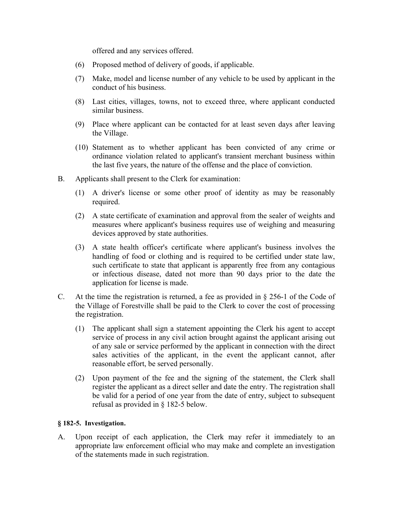offered and any services offered.

- (6) Proposed method of delivery of goods, if applicable.
- (7) Make, model and license number of any vehicle to be used by applicant in the conduct of his business.
- (8) Last cities, villages, towns, not to exceed three, where applicant conducted similar business.
- (9) Place where applicant can be contacted for at least seven days after leaving the Village.
- (10) Statement as to whether applicant has been convicted of any crime or ordinance violation related to applicant's transient merchant business within the last five years, the nature of the offense and the place of conviction.
- B. Applicants shall present to the Clerk for examination:
	- (1) A driver's license or some other proof of identity as may be reasonably required.
	- (2) A state certificate of examination and approval from the sealer of weights and measures where applicant's business requires use of weighing and measuring devices approved by state authorities.
	- (3) A state health officer's certificate where applicant's business involves the handling of food or clothing and is required to be certified under state law, such certificate to state that applicant is apparently free from any contagious or infectious disease, dated not more than 90 days prior to the date the application for license is made.
- C. At the time the registration is returned, a fee as provided in  $\S 256-1$  of the Code of the Village of Forestville shall be paid to the Clerk to cover the cost of processing the registration.
	- (1) The applicant shall sign a statement appointing the Clerk his agent to accept service of process in any civil action brought against the applicant arising out of any sale or service performed by the applicant in connection with the direct sales activities of the applicant, in the event the applicant cannot, after reasonable effort, be served personally.
	- (2) Upon payment of the fee and the signing of the statement, the Clerk shall register the applicant as a direct seller and date the entry. The registration shall be valid for a period of one year from the date of entry, subject to subsequent refusal as provided in § 182-5 below.

# **§ 182-5. Investigation.**

A. Upon receipt of each application, the Clerk may refer it immediately to an appropriate law enforcement official who may make and complete an investigation of the statements made in such registration.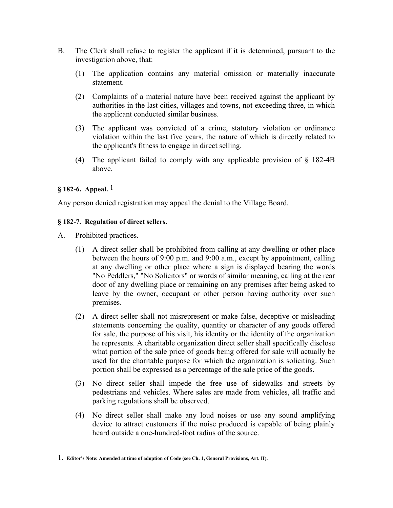- B. The Clerk shall refuse to register the applicant if it is determined, pursuant to the investigation above, that:
	- (1) The application contains any material omission or materially inaccurate statement.
	- (2) Complaints of a material nature have been received against the applicant by authorities in the last cities, villages and towns, not exceeding three, in which the applicant conducted similar business.
	- (3) The applicant was convicted of a crime, statutory violation or ordinance violation within the last five years, the nature of which is directly related to the applicant's fitness to engage in direct selling.
	- (4) The applicant failed to comply with any applicable provision of § 182-4B above.

# **§ 182-6. Appeal.** 1

 $\overline{a}$ 

Any person denied registration may appeal the denial to the Village Board.

# **§ 182-7. Regulation of direct sellers.**

- A. Prohibited practices.
	- (1) A direct seller shall be prohibited from calling at any dwelling or other place between the hours of 9:00 p.m. and 9:00 a.m., except by appointment, calling at any dwelling or other place where a sign is displayed bearing the words "No Peddlers," "No Solicitors" or words of similar meaning, calling at the rear door of any dwelling place or remaining on any premises after being asked to leave by the owner, occupant or other person having authority over such premises.
	- (2) A direct seller shall not misrepresent or make false, deceptive or misleading statements concerning the quality, quantity or character of any goods offered for sale, the purpose of his visit, his identity or the identity of the organization he represents. A charitable organization direct seller shall specifically disclose what portion of the sale price of goods being offered for sale will actually be used for the charitable purpose for which the organization is soliciting. Such portion shall be expressed as a percentage of the sale price of the goods.
	- (3) No direct seller shall impede the free use of sidewalks and streets by pedestrians and vehicles. Where sales are made from vehicles, all traffic and parking regulations shall be observed.
	- (4) No direct seller shall make any loud noises or use any sound amplifying device to attract customers if the noise produced is capable of being plainly heard outside a one-hundred-foot radius of the source.

<sup>1.</sup> **Editor's Note: Amended at time of adoption of Code (see Ch. 1, General Provisions, Art. II).**